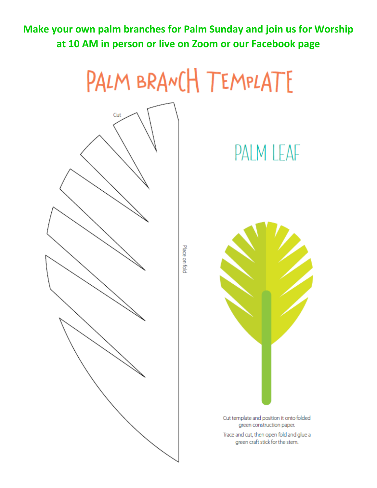Make your own palm branches for Palm Sunday and join us for Worship at 10 AM in person or live on Zoom or our Facebook page

## PALM BRANCH TEMPLATE



## PALM LEAF



Cut template and position it onto folded green construction paper.

Trace and cut, then open fold and glue a green craft stick for the stem.